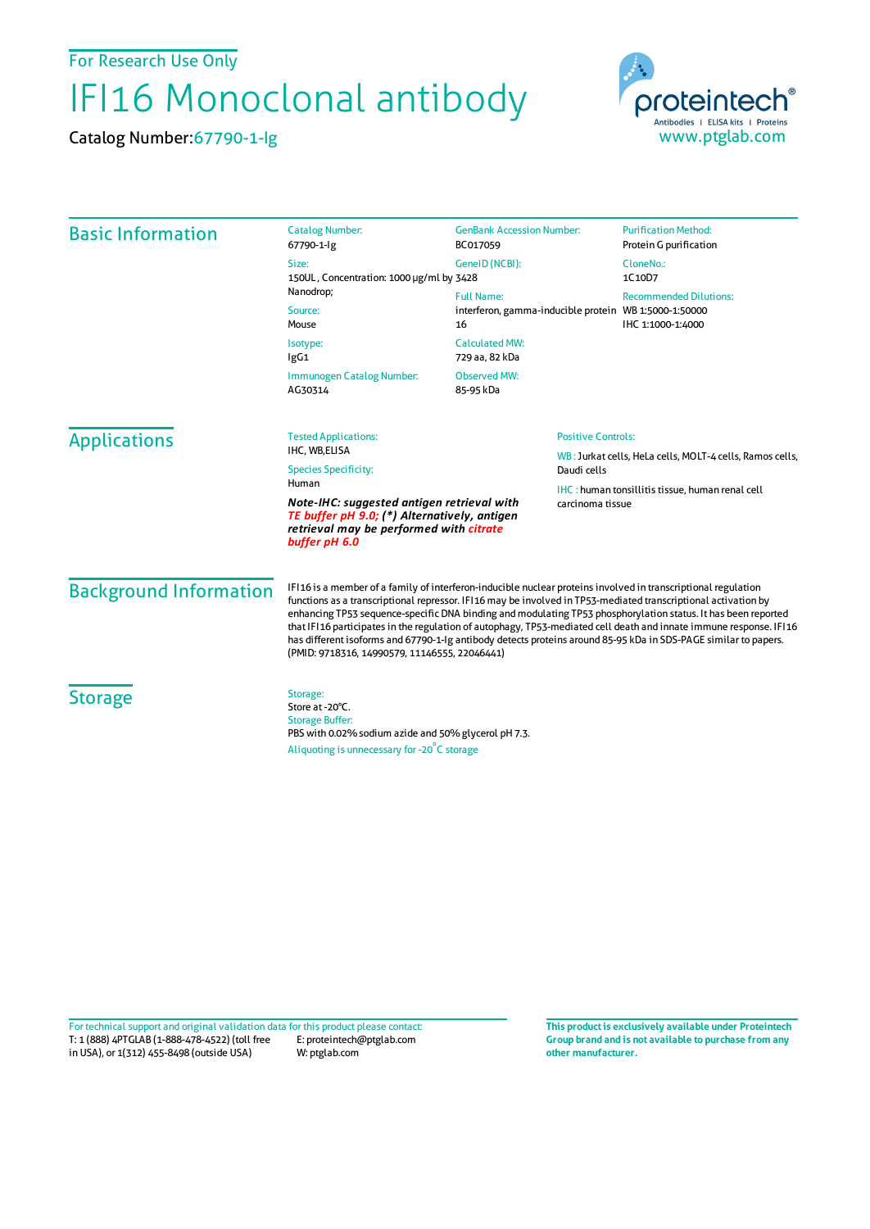For Research Use Only

## IFI16 Monoclonal antibody

Catalog Number:67790-1-Ig



| <b>Basic Information</b>      | <b>Catalog Number:</b><br>67790-1-lg                                                                                                                                                                                                                                                                                                                                                                                                                                                                                                                                                                                                       | <b>GenBank Accession Number:</b><br>BC017059                                     | <b>Purification Method:</b><br>Protein G purification    |  |
|-------------------------------|--------------------------------------------------------------------------------------------------------------------------------------------------------------------------------------------------------------------------------------------------------------------------------------------------------------------------------------------------------------------------------------------------------------------------------------------------------------------------------------------------------------------------------------------------------------------------------------------------------------------------------------------|----------------------------------------------------------------------------------|----------------------------------------------------------|--|
|                               | Size:<br>150UL, Concentration: 1000 µg/ml by 3428<br>Nanodrop;<br>Source:<br>Mouse                                                                                                                                                                                                                                                                                                                                                                                                                                                                                                                                                         | GeneID (NCBI):                                                                   | CloneNo.:<br>1C10D7                                      |  |
|                               |                                                                                                                                                                                                                                                                                                                                                                                                                                                                                                                                                                                                                                            | <b>Full Name:</b><br>interferon, gamma-inducible protein WB 1:5000-1:50000<br>16 | <b>Recommended Dilutions:</b><br>IHC 1:1000-1:4000       |  |
|                               | Isotype:<br>lgG1                                                                                                                                                                                                                                                                                                                                                                                                                                                                                                                                                                                                                           | <b>Calculated MW:</b><br>729 aa, 82 kDa                                          |                                                          |  |
|                               | Immunogen Catalog Number:<br>AG30314                                                                                                                                                                                                                                                                                                                                                                                                                                                                                                                                                                                                       | Observed MW:<br>85-95 kDa                                                        |                                                          |  |
| <b>Applications</b>           | <b>Tested Applications:</b><br>IHC, WB,ELISA                                                                                                                                                                                                                                                                                                                                                                                                                                                                                                                                                                                               | <b>Positive Controls:</b>                                                        | WB: Jurkat cells, HeLa cells, MOLT-4 cells, Ramos cells, |  |
|                               | <b>Species Specificity:</b><br>Human                                                                                                                                                                                                                                                                                                                                                                                                                                                                                                                                                                                                       | Daudi cells                                                                      |                                                          |  |
|                               | Note-IHC: suggested antigen retrieval with<br>carcinoma tissue<br>TE buffer pH 9.0; (*) Alternatively, antigen<br>retrieval may be performed with citrate<br>buffer pH 6.0                                                                                                                                                                                                                                                                                                                                                                                                                                                                 |                                                                                  | <b>IHC:</b> human tonsillitis tissue, human renal cell   |  |
| <b>Background Information</b> | IFI16 is a member of a family of interferon-inducible nuclear proteins involved in transcriptional regulation<br>functions as a transcriptional repressor. IF116 may be involved in TP53-mediated transcriptional activation by<br>enhancing TP53 sequence-specific DNA binding and modulating TP53 phosphorylation status. It has been reported<br>that IFI16 participates in the regulation of autophagy, TP53-mediated cell death and innate immune response. IFI16<br>has different isoforms and 67790-1-lg antibody detects proteins around 85-95 kDa in SDS-PAGE similar to papers.<br>(PMID: 9718316, 14990579, 11146555, 22046441) |                                                                                  |                                                          |  |
| <b>Storage</b>                | Storage:<br>Store at -20°C.<br><b>Storage Buffer:</b><br>PBS with 0.02% sodium azide and 50% glycerol pH 7.3.<br>Aliquoting is unnecessary for -20°C storage                                                                                                                                                                                                                                                                                                                                                                                                                                                                               |                                                                                  |                                                          |  |

T: 1 (888) 4PTGLAB (1-888-478-4522) (toll free in USA), or 1(312) 455-8498 (outside USA) E: proteintech@ptglab.com W: ptglab.com Fortechnical support and original validation data forthis product please contact: **This productis exclusively available under Proteintech**

**Group brand and is not available to purchase from any other manufacturer.**